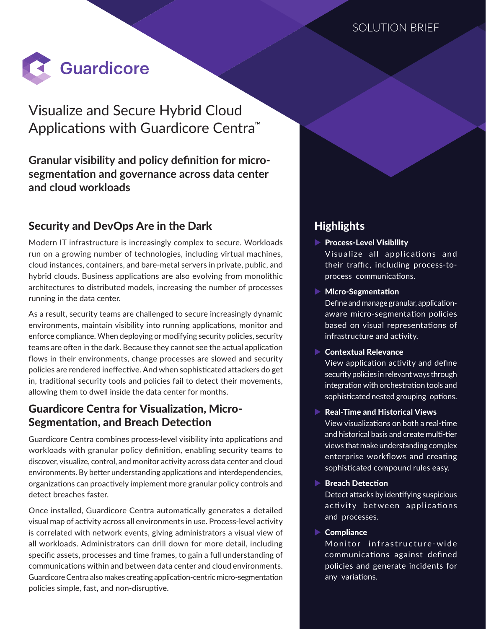

# Visualize and Secure Hybrid Cloud Applications with Guardicore Centra™

### **Granular visibility and policy definition for microsegmentation and governance across data center and cloud workloads**

### Security and DevOps Are in the Dark

Modern IT infrastructure is increasingly complex to secure. Workloads run on a growing number of technologies, including virtual machines, cloud instances, containers, and bare-metal servers in private, public, and hybrid clouds. Business applications are also evolving from monolithic architectures to distributed models, increasing the number of processes running in the data center.

As a result, security teams are challenged to secure increasingly dynamic environments, maintain visibility into running applications, monitor and enforce compliance. When deploying or modifying security policies, security teams are often in the dark. Because they cannot see the actual application flows in their environments, change processes are slowed and security policies are rendered ineffective. And when sophisticated attackers do get in, traditional security tools and policies fail to detect their movements, allowing them to dwell inside the data center for months.

### Guardicore Centra for Visualization, Micro-Segmentation, and Breach Detection

Guardicore Centra combines process-level visibility into applications and workloads with granular policy definition, enabling security teams to discover, visualize, control, and monitor activity across data center and cloud environments. By better understanding applications and interdependencies, organizations can proactively implement more granular policy controls and detect breaches faster.

Once installed, Guardicore Centra automatically generates a detailed visual map of activity across all environments in use. Process-level activity is correlated with network events, giving administrators a visual view of all workloads. Administrators can drill down for more detail, including specific assets, processes and time frames, to gain a full understanding of communications within and between data center and cloud environments. Guardicore Centra also makes creating application-centric micro-segmentation policies simple, fast, and non-disruptive.

## Highlights

- $\blacktriangleright$  Process-Level Visibility Visualize all applications and their traffic, including process-toprocess communications.
- $\blacktriangleright$  Micro-Segmentation

Define and manage granular, applicationaware micro-segmentation policies based on visual representations of infrastructure and activity.

### $\blacktriangleright$  Contextual Relevance

View application activity and define security policies in relevant ways through integration with orchestration tools and sophisticated nested grouping options.

### $\blacktriangleright$  Real-Time and Historical Views

View visualizations on both a real-time and historical basis and create multi-tier views that make understanding complex enterprise workflows and creating sophisticated compound rules easy.

#### $\blacktriangleright$  Breach Detection

Detect attacks by identifying suspicious activity between applications and processes.

### $\blacktriangleright$  Compliance

Monitor infrastructure-wide communications against defined policies and generate incidents for any variations.